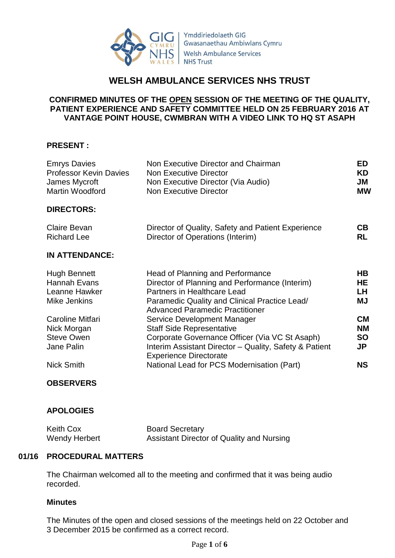

Ymddiriedolaeth GIG Gwasanaethau Ambiwlans Cymru **Welsh Ambulance Services NHS Trust** 

# **WELSH AMBULANCE SERVICES NHS TRUST**

### **CONFIRMED MINUTES OF THE OPEN SESSION OF THE MEETING OF THE QUALITY, PATIENT EXPERIENCE AND SAFETY COMMITTEE HELD ON 25 FEBRUARY 2016 AT VANTAGE POINT HOUSE, CWMBRAN WITH A VIDEO LINK TO HQ ST ASAPH**

### **PRESENT :**

| <b>Emrys Davies</b><br><b>Professor Kevin Davies</b><br>James Mycroft<br>Martin Woodford | Non Executive Director and Chairman<br><b>Non Executive Director</b><br>Non Executive Director (Via Audio)<br><b>Non Executive Director</b>                                                                         | ED<br>KD<br>JM<br><b>MW</b>                |
|------------------------------------------------------------------------------------------|---------------------------------------------------------------------------------------------------------------------------------------------------------------------------------------------------------------------|--------------------------------------------|
| <b>DIRECTORS:</b>                                                                        |                                                                                                                                                                                                                     |                                            |
| <b>Claire Bevan</b><br><b>Richard Lee</b>                                                | Director of Quality, Safety and Patient Experience<br>Director of Operations (Interim)                                                                                                                              | CВ<br><b>RL</b>                            |
| <b>IN ATTENDANCE:</b>                                                                    |                                                                                                                                                                                                                     |                                            |
| Hugh Bennett<br>Hannah Evans<br>Leanne Hawker<br>Mike Jenkins                            | <b>Head of Planning and Performance</b><br>Director of Planning and Performance (Interim)<br>Partners in Healthcare Lead<br>Paramedic Quality and Clinical Practice Lead/<br><b>Advanced Paramedic Practitioner</b> | HB.<br>HE<br>LH.<br><b>MJ</b>              |
| Caroline Mitfari<br>Nick Morgan<br><b>Steve Owen</b><br>Jane Palin                       | Service Development Manager<br><b>Staff Side Representative</b><br>Corporate Governance Officer (Via VC St Asaph)<br>Interim Assistant Director - Quality, Safety & Patient<br><b>Experience Directorate</b>        | <b>CM</b><br><b>NM</b><br><b>SO</b><br>JP. |
| <b>Nick Smith</b>                                                                        | National Lead for PCS Modernisation (Part)                                                                                                                                                                          | NS                                         |
|                                                                                          |                                                                                                                                                                                                                     |                                            |

#### **OBSERVERS**

## **APOLOGIES**

| <b>Keith Cox</b> | <b>Board Secretary</b>                    |
|------------------|-------------------------------------------|
| Wendy Herbert    | Assistant Director of Quality and Nursing |

#### **01/16 PROCEDURAL MATTERS**

The Chairman welcomed all to the meeting and confirmed that it was being audio recorded.

#### **Minutes**

The Minutes of the open and closed sessions of the meetings held on 22 October and 3 December 2015 be confirmed as a correct record.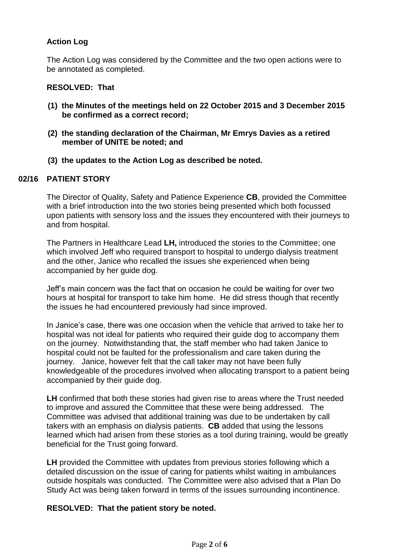## **Action Log**

The Action Log was considered by the Committee and the two open actions were to be annotated as completed.

#### **RESOLVED: That**

- **(1) the Minutes of the meetings held on 22 October 2015 and 3 December 2015 be confirmed as a correct record;**
- **(2) the standing declaration of the Chairman, Mr Emrys Davies as a retired member of UNITE be noted; and**
- **(3) the updates to the Action Log as described be noted.**

## **02/16 PATIENT STORY**

The Director of Quality, Safety and Patience Experience **CB**, provided the Committee with a brief introduction into the two stories being presented which both focussed upon patients with sensory loss and the issues they encountered with their journeys to and from hospital.

The Partners in Healthcare Lead **LH,** introduced the stories to the Committee; one which involved Jeff who required transport to hospital to undergo dialysis treatment and the other, Janice who recalled the issues she experienced when being accompanied by her guide dog.

Jeff's main concern was the fact that on occasion he could be waiting for over two hours at hospital for transport to take him home. He did stress though that recently the issues he had encountered previously had since improved.

In Janice's case, there was one occasion when the vehicle that arrived to take her to hospital was not ideal for patients who required their guide dog to accompany them on the journey. Notwithstanding that, the staff member who had taken Janice to hospital could not be faulted for the professionalism and care taken during the journey. Janice, however felt that the call taker may not have been fully knowledgeable of the procedures involved when allocating transport to a patient being accompanied by their guide dog.

**LH** confirmed that both these stories had given rise to areas where the Trust needed to improve and assured the Committee that these were being addressed. The Committee was advised that additional training was due to be undertaken by call takers with an emphasis on dialysis patients. **CB** added that using the lessons learned which had arisen from these stories as a tool during training, would be greatly beneficial for the Trust going forward.

**LH** provided the Committee with updates from previous stories following which a detailed discussion on the issue of caring for patients whilst waiting in ambulances outside hospitals was conducted. The Committee were also advised that a Plan Do Study Act was being taken forward in terms of the issues surrounding incontinence.

#### **RESOLVED: That the patient story be noted.**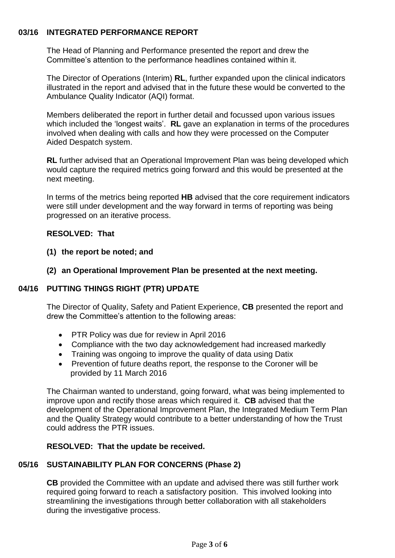### **03/16 INTEGRATED PERFORMANCE REPORT**

The Head of Planning and Performance presented the report and drew the Committee's attention to the performance headlines contained within it.

The Director of Operations (Interim) **RL**, further expanded upon the clinical indicators illustrated in the report and advised that in the future these would be converted to the Ambulance Quality Indicator (AQI) format.

Members deliberated the report in further detail and focussed upon various issues which included the 'longest waits'. **RL** gave an explanation in terms of the procedures involved when dealing with calls and how they were processed on the Computer Aided Despatch system.

**RL** further advised that an Operational Improvement Plan was being developed which would capture the required metrics going forward and this would be presented at the next meeting.

In terms of the metrics being reported **HB** advised that the core requirement indicators were still under development and the way forward in terms of reporting was being progressed on an iterative process.

### **RESOLVED: That**

- **(1) the report be noted; and**
- **(2) an Operational Improvement Plan be presented at the next meeting.**

## **04/16 PUTTING THINGS RIGHT (PTR) UPDATE**

The Director of Quality, Safety and Patient Experience, **CB** presented the report and drew the Committee's attention to the following areas:

- PTR Policy was due for review in April 2016
- Compliance with the two day acknowledgement had increased markedly
- Training was ongoing to improve the quality of data using Datix
- Prevention of future deaths report, the response to the Coroner will be provided by 11 March 2016

The Chairman wanted to understand, going forward, what was being implemented to improve upon and rectify those areas which required it. **CB** advised that the development of the Operational Improvement Plan, the Integrated Medium Term Plan and the Quality Strategy would contribute to a better understanding of how the Trust could address the PTR issues.

#### **RESOLVED: That the update be received.**

## **05/16 SUSTAINABILITY PLAN FOR CONCERNS (Phase 2)**

**CB** provided the Committee with an update and advised there was still further work required going forward to reach a satisfactory position. This involved looking into streamlining the investigations through better collaboration with all stakeholders during the investigative process.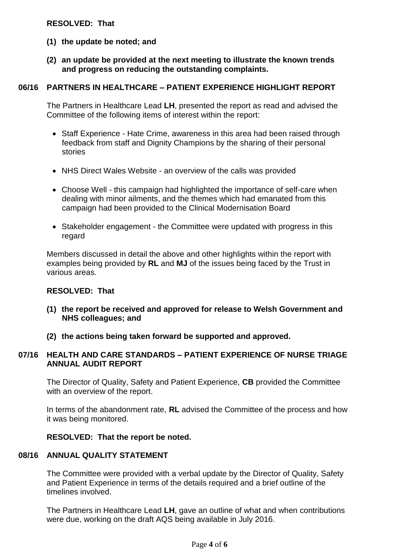#### **RESOLVED: That**

- **(1) the update be noted; and**
- **(2) an update be provided at the next meeting to illustrate the known trends and progress on reducing the outstanding complaints.**

#### **06/16 PARTNERS IN HEALTHCARE – PATIENT EXPERIENCE HIGHLIGHT REPORT**

The Partners in Healthcare Lead **LH**, presented the report as read and advised the Committee of the following items of interest within the report:

- Staff Experience Hate Crime, awareness in this area had been raised through feedback from staff and Dignity Champions by the sharing of their personal stories
- NHS Direct Wales Website an overview of the calls was provided
- Choose Well this campaign had highlighted the importance of self-care when dealing with minor ailments, and the themes which had emanated from this campaign had been provided to the Clinical Modernisation Board
- Stakeholder engagement the Committee were updated with progress in this regard

Members discussed in detail the above and other highlights within the report with examples being provided by **RL** and **MJ** of the issues being faced by the Trust in various areas.

#### **RESOLVED: That**

- **(1) the report be received and approved for release to Welsh Government and NHS colleagues; and**
- **(2) the actions being taken forward be supported and approved.**

#### **07/16 HEALTH AND CARE STANDARDS – PATIENT EXPERIENCE OF NURSE TRIAGE ANNUAL AUDIT REPORT**

The Director of Quality, Safety and Patient Experience, **CB** provided the Committee with an overview of the report.

In terms of the abandonment rate, **RL** advised the Committee of the process and how it was being monitored.

#### **RESOLVED: That the report be noted.**

#### **08/16 ANNUAL QUALITY STATEMENT**

The Committee were provided with a verbal update by the Director of Quality, Safety and Patient Experience in terms of the details required and a brief outline of the timelines involved.

The Partners in Healthcare Lead **LH**, gave an outline of what and when contributions were due, working on the draft AQS being available in July 2016.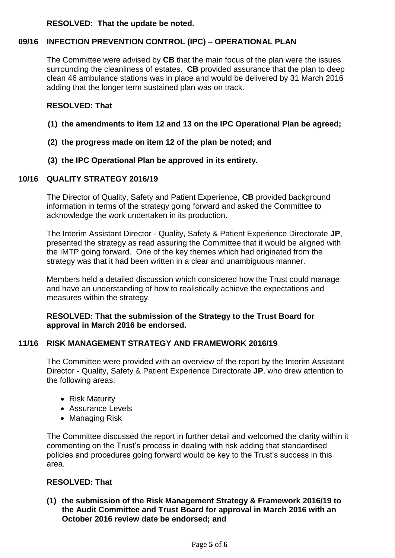#### **RESOLVED: That the update be noted.**

## **09/16 INFECTION PREVENTION CONTROL (IPC) – OPERATIONAL PLAN**

The Committee were advised by **CB** that the main focus of the plan were the issues surrounding the cleanliness of estates. **CB** provided assurance that the plan to deep clean 46 ambulance stations was in place and would be delivered by 31 March 2016 adding that the longer term sustained plan was on track.

#### **RESOLVED: That**

- **(1) the amendments to item 12 and 13 on the IPC Operational Plan be agreed;**
- **(2) the progress made on item 12 of the plan be noted; and**
- **(3) the IPC Operational Plan be approved in its entirety.**

### **10/16 QUALITY STRATEGY 2016/19**

The Director of Quality, Safety and Patient Experience, **CB** provided background information in terms of the strategy going forward and asked the Committee to acknowledge the work undertaken in its production.

The Interim Assistant Director - Quality, Safety & Patient Experience Directorate **JP**, presented the strategy as read assuring the Committee that it would be aligned with the IMTP going forward. One of the key themes which had originated from the strategy was that it had been written in a clear and unambiguous manner.

Members held a detailed discussion which considered how the Trust could manage and have an understanding of how to realistically achieve the expectations and measures within the strategy.

#### **RESOLVED: That the submission of the Strategy to the Trust Board for approval in March 2016 be endorsed.**

## **11/16 RISK MANAGEMENT STRATEGY AND FRAMEWORK 2016/19**

The Committee were provided with an overview of the report by the Interim Assistant Director - Quality, Safety & Patient Experience Directorate **JP**, who drew attention to the following areas:

- Risk Maturity
- Assurance Levels
- Managing Risk

The Committee discussed the report in further detail and welcomed the clarity within it commenting on the Trust's process in dealing with risk adding that standardised policies and procedures going forward would be key to the Trust's success in this area.

#### **RESOLVED: That**

**(1) the submission of the Risk Management Strategy & Framework 2016/19 to the Audit Committee and Trust Board for approval in March 2016 with an October 2016 review date be endorsed; and**